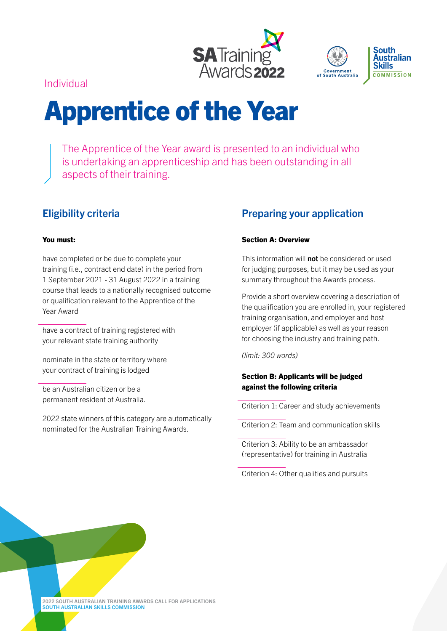



Individual

# Apprentice of the Year

The Apprentice of the Year award is presented to an individual who is undertaking an apprenticeship and has been outstanding in all aspects of their training.

# Eligibility criteria

### You must:

have completed or be due to complete your training (i.e., contract end date) in the period from 1 September 2021 - 31 August 2022 in a training course that leads to a nationally recognised outcome or qualification relevant to the Apprentice of the Year Award

have a contract of training registered with your relevant state training authority

nominate in the state or territory where your contract of training is lodged

be an Australian citizen or be a permanent resident of Australia.

2022 state winners of this category are automatically nominated for the Australian Training Awards.

## Preparing your application

### Section A: Overview

This information will **not** be considered or used for judging purposes, but it may be used as your summary throughout the Awards process.

Provide a short overview covering a description of the qualification you are enrolled in, your registered training organisation, and employer and host employer (if applicable) as well as your reason for choosing the industry and training path.

*(limit: 300 words)*

## Section B: Applicants will be judged against the following criteria

Criterion 1: Career and study achievements

Criterion 2: Team and communication skills

Criterion 3: Ability to be an ambassador (representative) for training in Australia

Criterion 4: Other qualities and pursuits